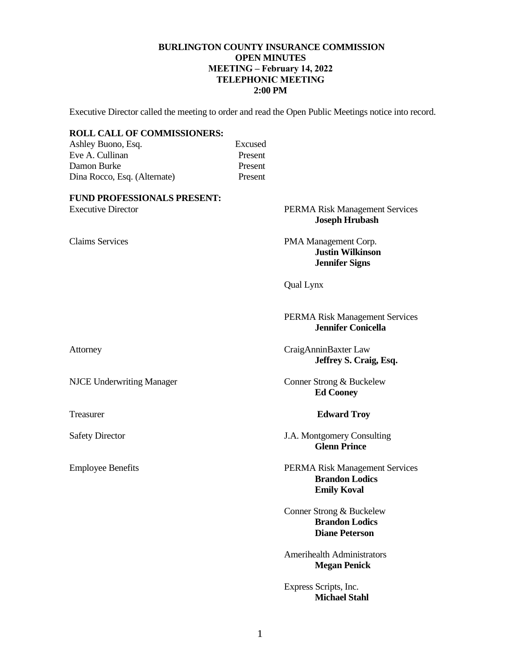### **BURLINGTON COUNTY INSURANCE COMMISSION OPEN MINUTES MEETING – February 14, 2022 TELEPHONIC MEETING 2:00 PM**

Executive Director called the meeting to order and read the Open Public Meetings notice into record.

### **ROLL CALL OF COMMISSIONERS:**

Ashley Buono, Esq. Excused<br>Excused<br>Present Eve A. Cullinan Damon Burke Present Dina Rocco, Esq. (Alternate) Present

#### **FUND PROFESSIONALS PRESENT:**

#### Executive Director PERMA Risk Management Services **Joseph Hrubash**

Claims Services PMA Management Corp. **Justin Wilkinson Jennifer Signs**

Qual Lynx

### PERMA Risk Management Services **Jennifer Conicella**

Attorney CraigAnninBaxter Law **Jeffrey S. Craig, Esq.**

NJCE Underwriting Manager Conner Strong & Buckelew **Ed Cooney**

#### Treasurer **Edward Troy**

Safety Director J.A. Montgomery Consulting **Glenn Prince**

Employee Benefits PERMA Risk Management Services **Brandon Lodics Emily Koval**

> Conner Strong & Buckelew **Brandon Lodics Diane Peterson**

Amerihealth Administrators **Megan Penick**

Express Scripts, Inc.  **Michael Stahl**

1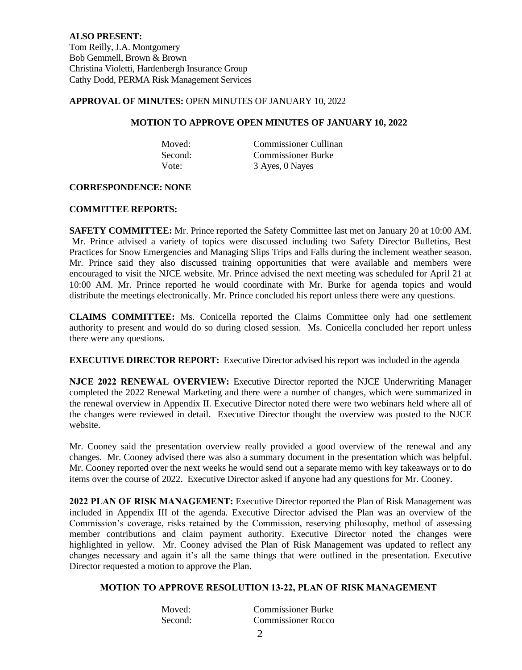#### **APPROVAL OF MINUTES:** OPEN MINUTES OF JANUARY 10, 2022

#### **MOTION TO APPROVE OPEN MINUTES OF JANUARY 10, 2022**

| Moved:  | Commissioner Cullinan     |
|---------|---------------------------|
| Second: | <b>Commissioner Burke</b> |
| Vote:   | 3 Ayes, 0 Nayes           |

### **CORRESPONDENCE: NONE**

#### **COMMITTEE REPORTS:**

**SAFETY COMMITTEE:** Mr. Prince reported the Safety Committee last met on January 20 at 10:00 AM. Mr. Prince advised a variety of topics were discussed including two Safety Director Bulletins, Best Practices for Snow Emergencies and Managing Slips Trips and Falls during the inclement weather season. Mr. Prince said they also discussed training opportunities that were available and members were encouraged to visit the NJCE website. Mr. Prince advised the next meeting was scheduled for April 21 at 10:00 AM. Mr. Prince reported he would coordinate with Mr. Burke for agenda topics and would distribute the meetings electronically. Mr. Prince concluded his report unless there were any questions.

**CLAIMS COMMITTEE:** Ms. Conicella reported the Claims Committee only had one settlement authority to present and would do so during closed session. Ms. Conicella concluded her report unless there were any questions.

**EXECUTIVE DIRECTOR REPORT:** Executive Director advised his report was included in the agenda

**NJCE 2022 RENEWAL OVERVIEW:** Executive Director reported the NJCE Underwriting Manager completed the 2022 Renewal Marketing and there were a number of changes, which were summarized in the renewal overview in Appendix II. Executive Director noted there were two webinars held where all of the changes were reviewed in detail. Executive Director thought the overview was posted to the NJCE website.

Mr. Cooney said the presentation overview really provided a good overview of the renewal and any changes. Mr. Cooney advised there was also a summary document in the presentation which was helpful. Mr. Cooney reported over the next weeks he would send out a separate memo with key takeaways or to do items over the course of 2022. Executive Director asked if anyone had any questions for Mr. Cooney.

**2022 PLAN OF RISK MANAGEMENT:** Executive Director reported the Plan of Risk Management was included in Appendix III of the agenda. Executive Director advised the Plan was an overview of the Commission's coverage, risks retained by the Commission, reserving philosophy, method of assessing member contributions and claim payment authority. Executive Director noted the changes were highlighted in yellow. Mr. Cooney advised the Plan of Risk Management was updated to reflect any changes necessary and again it's all the same things that were outlined in the presentation. Executive Director requested a motion to approve the Plan.

### **MOTION TO APPROVE RESOLUTION 13-22, PLAN OF RISK MANAGEMENT**

| Moved:  | <b>Commissioner Burke</b> |
|---------|---------------------------|
| Second: | <b>Commissioner Rocco</b> |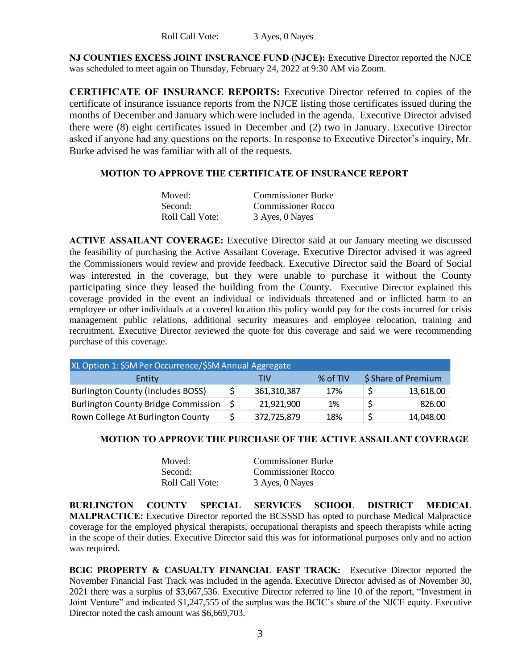### Roll Call Vote: 3 Ayes, 0 Nayes

**NJ COUNTIES EXCESS JOINT INSURANCE FUND (NJCE):** Executive Director reported the NJCE was scheduled to meet again on Thursday, February 24, 2022 at 9:30 AM via Zoom.

**CERTIFICATE OF INSURANCE REPORTS:** Executive Director referred to copies of the certificate of insurance issuance reports from the NJCE listing those certificates issued during the months of December and January which were included in the agenda. Executive Director advised there were (8) eight certificates issued in December and (2) two in January. Executive Director asked if anyone had any questions on the reports. In response to Executive Director's inquiry, Mr. Burke advised he was familiar with all of the requests.

### **MOTION TO APPROVE THE CERTIFICATE OF INSURANCE REPORT**

| Moved:          | <b>Commissioner Burke</b> |
|-----------------|---------------------------|
| Second:         | <b>Commissioner Rocco</b> |
| Roll Call Vote: | 3 Ayes, 0 Nayes           |

**ACTIVE ASSAILANT COVERAGE:** Executive Director said at our January meeting we discussed the feasibility of purchasing the Active Assailant Coverage. Executive Director advised it was agreed the Commissioners would review and provide feedback. Executive Director said the Board of Social was interested in the coverage, but they were unable to purchase it without the County participating since they leased the building from the County. Executive Director explained this coverage provided in the event an individual or individuals threatened and or inflicted harm to an employee or other individuals at a covered location this policy would pay for the costs incurred for crisis management public relations, additional security measures and employee relocation, training and recruitment. Executive Director reviewed the quote for this coverage and said we were recommending purchase of this coverage.

| XL Option 1: \$5M Per Occurrence/\$5M Annual Aggregate |  |               |          |                     |
|--------------------------------------------------------|--|---------------|----------|---------------------|
| Entity                                                 |  | TIV           | % of TIV | \$ Share of Premium |
| <b>Burlington County (includes BOSS)</b>               |  | 361, 310, 387 | 17%      | 13,618.00           |
| <b>Burlington County Bridge Commission</b>             |  | 21,921,900    | 1%       | 826.00              |
| Rown College At Burlington County                      |  | 372,725,879   | 18%      | 14,048.00           |

# **MOTION TO APPROVE THE PURCHASE OF THE ACTIVE ASSAILANT COVERAGE**

| Moved:          | <b>Commissioner Burke</b> |
|-----------------|---------------------------|
| Second:         | Commissioner Rocco        |
| Roll Call Vote: | 3 Ayes, 0 Nayes           |

**BURLINGTON COUNTY SPECIAL SERVICES SCHOOL DISTRICT MEDICAL MALPRACTICE:** Executive Director reported the BCSSSD has opted to purchase Medical Malpractice coverage for the employed physical therapists, occupational therapists and speech therapists while acting in the scope of their duties. Executive Director said this was for informational purposes only and no action was required.

**BCIC PROPERTY & CASUALTY FINANCIAL FAST TRACK:** Executive Director reported the November Financial Fast Track was included in the agenda. Executive Director advised as of November 30, 2021 there was a surplus of \$3,667,536. Executive Director referred to line 10 of the report, "Investment in Joint Venture" and indicated \$1,247,555 of the surplus was the BCIC's share of the NJCE equity. Executive Director noted the cash amount was \$6,669,703.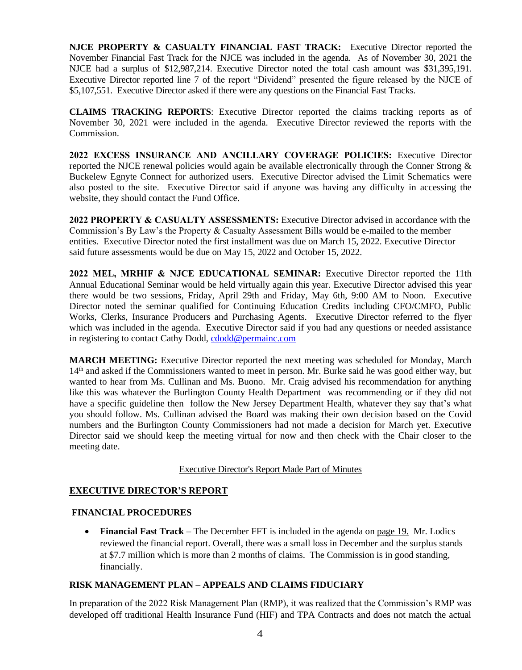**NJCE PROPERTY & CASUALTY FINANCIAL FAST TRACK:** Executive Director reported the November Financial Fast Track for the NJCE was included in the agenda. As of November 30, 2021 the NJCE had a surplus of \$12,987,214. Executive Director noted the total cash amount was \$31,395,191. Executive Director reported line 7 of the report "Dividend" presented the figure released by the NJCE of \$5,107,551. Executive Director asked if there were any questions on the Financial Fast Tracks.

**CLAIMS TRACKING REPORTS**: Executive Director reported the claims tracking reports as of November 30, 2021 were included in the agenda. Executive Director reviewed the reports with the Commission.

**2022 EXCESS INSURANCE AND ANCILLARY COVERAGE POLICIES:** Executive Director reported the NJCE renewal policies would again be available electronically through the Conner Strong & Buckelew Egnyte Connect for authorized users. Executive Director advised the Limit Schematics were also posted to the site. Executive Director said if anyone was having any difficulty in accessing the website, they should contact the Fund Office.

**2022 PROPERTY & CASUALTY ASSESSMENTS:** Executive Director advised in accordance with the Commission's By Law's the Property & Casualty Assessment Bills would be e-mailed to the member entities. Executive Director noted the first installment was due on March 15, 2022. Executive Director said future assessments would be due on May 15, 2022 and October 15, 2022.

**2022 MEL, MRHIF & NJCE EDUCATIONAL SEMINAR:** Executive Director reported the 11th Annual Educational Seminar would be held virtually again this year. Executive Director advised this year there would be two sessions, Friday, April 29th and Friday, May 6th, 9:00 AM to Noon. Executive Director noted the seminar qualified for Continuing Education Credits including CFO/CMFO, Public Works, Clerks, Insurance Producers and Purchasing Agents. Executive Director referred to the flyer which was included in the agenda. Executive Director said if you had any questions or needed assistance in registering to contact Cathy Dodd, [cdodd@permainc.com](mailto:cdodd@permainc.com)

**MARCH MEETING:** Executive Director reported the next meeting was scheduled for Monday, March 14<sup>th</sup> and asked if the Commissioners wanted to meet in person. Mr. Burke said he was good either way, but wanted to hear from Ms. Cullinan and Ms. Buono. Mr. Craig advised his recommendation for anything like this was whatever the Burlington County Health Department was recommending or if they did not have a specific guideline then follow the New Jersey Department Health, whatever they say that's what you should follow. Ms. Cullinan advised the Board was making their own decision based on the Covid numbers and the Burlington County Commissioners had not made a decision for March yet. Executive Director said we should keep the meeting virtual for now and then check with the Chair closer to the meeting date.

### Executive Director's Report Made Part of Minutes

# **EXECUTIVE DIRECTOR'S REPORT**

### **FINANCIAL PROCEDURES**

• **Financial Fast Track** – The December FFT is included in the agenda on page 19. Mr. Lodics reviewed the financial report. Overall, there was a small loss in December and the surplus stands at \$7.7 million which is more than 2 months of claims. The Commission is in good standing, financially.

# **RISK MANAGEMENT PLAN – APPEALS AND CLAIMS FIDUCIARY**

In preparation of the 2022 Risk Management Plan (RMP), it was realized that the Commission's RMP was developed off traditional Health Insurance Fund (HIF) and TPA Contracts and does not match the actual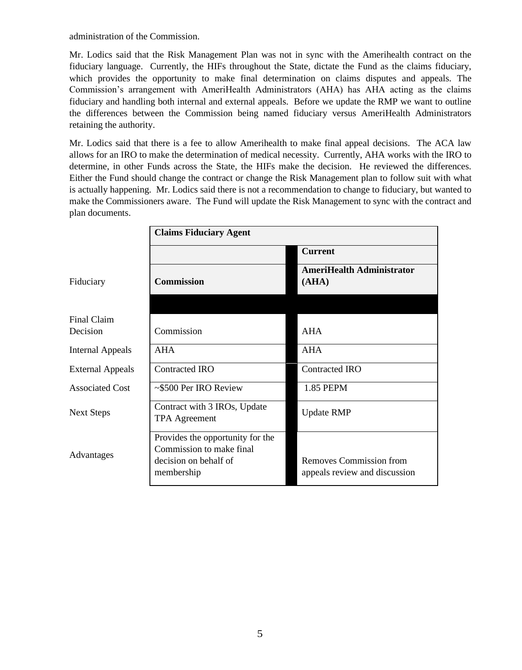administration of the Commission.

Mr. Lodics said that the Risk Management Plan was not in sync with the Amerihealth contract on the fiduciary language. Currently, the HIFs throughout the State, dictate the Fund as the claims fiduciary, which provides the opportunity to make final determination on claims disputes and appeals. The Commission's arrangement with AmeriHealth Administrators (AHA) has AHA acting as the claims fiduciary and handling both internal and external appeals. Before we update the RMP we want to outline the differences between the Commission being named fiduciary versus AmeriHealth Administrators retaining the authority.

Mr. Lodics said that there is a fee to allow Amerihealth to make final appeal decisions. The ACA law allows for an IRO to make the determination of medical necessity. Currently, AHA works with the IRO to determine, in other Funds across the State, the HIFs make the decision. He reviewed the differences. Either the Fund should change the contract or change the Risk Management plan to follow suit with what is actually happening. Mr. Lodics said there is not a recommendation to change to fiduciary, but wanted to make the Commissioners aware. The Fund will update the Risk Management to sync with the contract and plan documents.

|                         | <b>Claims Fiduciary Agent</b>                                |                                                          |  |
|-------------------------|--------------------------------------------------------------|----------------------------------------------------------|--|
|                         |                                                              | <b>Current</b>                                           |  |
| Fiduciary               | <b>Commission</b>                                            | <b>AmeriHealth Administrator</b><br>(AHA)                |  |
|                         |                                                              |                                                          |  |
| Final Claim             |                                                              |                                                          |  |
| Decision                | Commission                                                   | <b>AHA</b>                                               |  |
| <b>Internal Appeals</b> | <b>AHA</b>                                                   | <b>AHA</b>                                               |  |
| <b>External Appeals</b> | Contracted IRO                                               | <b>Contracted IRO</b>                                    |  |
| <b>Associated Cost</b>  | ~\$500 Per IRO Review                                        | 1.85 PEPM                                                |  |
| <b>Next Steps</b>       | Contract with 3 IROs, Update<br><b>TPA</b> Agreement         | <b>Update RMP</b>                                        |  |
|                         | Provides the opportunity for the<br>Commission to make final |                                                          |  |
| Advantages              | decision on behalf of<br>membership                          | Removes Commission from<br>appeals review and discussion |  |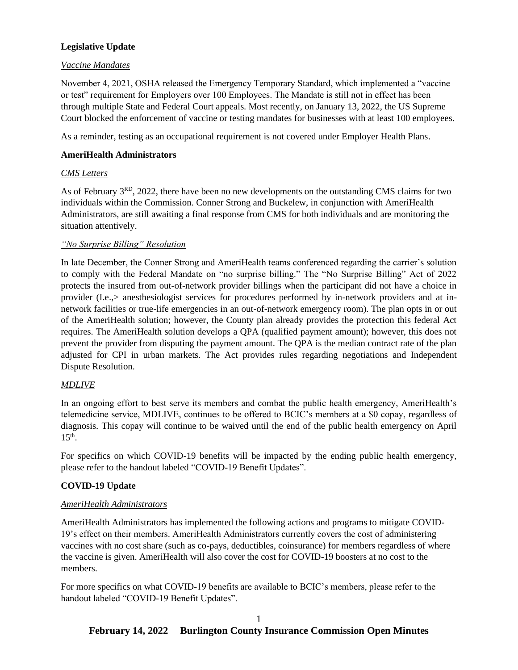# **Legislative Update**

### *Vaccine Mandates*

November 4, 2021, OSHA released the Emergency Temporary Standard, which implemented a "vaccine or test" requirement for Employers over 100 Employees. The Mandate is still not in effect has been through multiple State and Federal Court appeals. Most recently, on January 13, 2022, the US Supreme Court blocked the enforcement of vaccine or testing mandates for businesses with at least 100 employees.

As a reminder, testing as an occupational requirement is not covered under Employer Health Plans.

### **AmeriHealth Administrators**

# *CMS Letters*

As of February 3<sup>RD</sup>, 2022, there have been no new developments on the outstanding CMS claims for two individuals within the Commission. Conner Strong and Buckelew, in conjunction with AmeriHealth Administrators, are still awaiting a final response from CMS for both individuals and are monitoring the situation attentively.

### *"No Surprise Billing" Resolution*

In late December, the Conner Strong and AmeriHealth teams conferenced regarding the carrier's solution to comply with the Federal Mandate on "no surprise billing." The "No Surprise Billing" Act of 2022 protects the insured from out-of-network provider billings when the participant did not have a choice in provider (I.e.,> anesthesiologist services for procedures performed by in-network providers and at innetwork facilities or true-life emergencies in an out-of-network emergency room). The plan opts in or out of the AmeriHealth solution; however, the County plan already provides the protection this federal Act requires. The AmeriHealth solution develops a QPA (qualified payment amount); however, this does not prevent the provider from disputing the payment amount. The QPA is the median contract rate of the plan adjusted for CPI in urban markets. The Act provides rules regarding negotiations and Independent Dispute Resolution.

# *MDLIVE*

In an ongoing effort to best serve its members and combat the public health emergency, AmeriHealth's telemedicine service, MDLIVE, continues to be offered to BCIC's members at a \$0 copay, regardless of diagnosis. This copay will continue to be waived until the end of the public health emergency on April  $15<sup>th</sup>$ .

For specifics on which COVID-19 benefits will be impacted by the ending public health emergency, please refer to the handout labeled "COVID-19 Benefit Updates".

# **COVID-19 Update**

### *AmeriHealth Administrators*

AmeriHealth Administrators has implemented the following actions and programs to mitigate COVID-19's effect on their members. AmeriHealth Administrators currently covers the cost of administering vaccines with no cost share (such as co-pays, deductibles, coinsurance) for members regardless of where the vaccine is given. AmeriHealth will also cover the cost for COVID-19 boosters at no cost to the members.

For more specifics on what COVID-19 benefits are available to BCIC's members, please refer to the handout labeled "COVID-19 Benefit Updates".

### 1 **February 14, 2022 Burlington County Insurance Commission Open Minutes**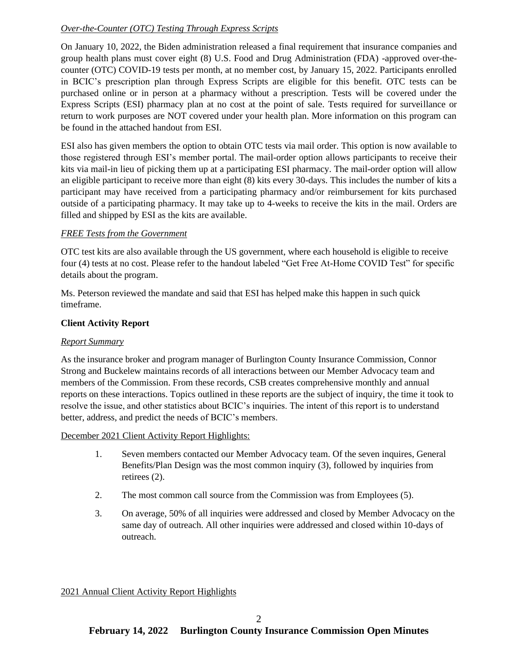# *Over-the-Counter (OTC) Testing Through Express Scripts*

On January 10, 2022, the Biden administration released a final requirement that insurance companies and group health plans must cover eight (8) U.S. Food and Drug Administration (FDA) -approved over-thecounter (OTC) COVID-19 tests per month, at no member cost, by January 15, 2022. Participants enrolled in BCIC's prescription plan through Express Scripts are eligible for this benefit. OTC tests can be purchased online or in person at a pharmacy without a prescription. Tests will be covered under the Express Scripts (ESI) pharmacy plan at no cost at the point of sale. Tests required for surveillance or return to work purposes are NOT covered under your health plan. More information on this program can be found in the attached handout from ESI.

ESI also has given members the option to obtain OTC tests via mail order. This option is now available to those registered through ESI's member portal. The mail-order option allows participants to receive their kits via mail-in lieu of picking them up at a participating ESI pharmacy. The mail-order option will allow an eligible participant to receive more than eight (8) kits every 30-days. This includes the number of kits a participant may have received from a participating pharmacy and/or reimbursement for kits purchased outside of a participating pharmacy. It may take up to 4-weeks to receive the kits in the mail. Orders are filled and shipped by ESI as the kits are available.

### *FREE Tests from the Government*

OTC test kits are also available through the US government, where each household is eligible to receive four (4) tests at no cost. Please refer to the handout labeled "Get Free At-Home COVID Test" for specific details about the program.

Ms. Peterson reviewed the mandate and said that ESI has helped make this happen in such quick timeframe.

### **Client Activity Report**

### *Report Summary*

As the insurance broker and program manager of Burlington County Insurance Commission, Connor Strong and Buckelew maintains records of all interactions between our Member Advocacy team and members of the Commission. From these records, CSB creates comprehensive monthly and annual reports on these interactions. Topics outlined in these reports are the subject of inquiry, the time it took to resolve the issue, and other statistics about BCIC's inquiries. The intent of this report is to understand better, address, and predict the needs of BCIC's members.

### December 2021 Client Activity Report Highlights:

- 1. Seven members contacted our Member Advocacy team. Of the seven inquires, General Benefits/Plan Design was the most common inquiry (3), followed by inquiries from retirees (2).
- 2. The most common call source from the Commission was from Employees (5).
- 3. On average, 50% of all inquiries were addressed and closed by Member Advocacy on the same day of outreach. All other inquiries were addressed and closed within 10-days of outreach.

### 2021 Annual Client Activity Report Highlights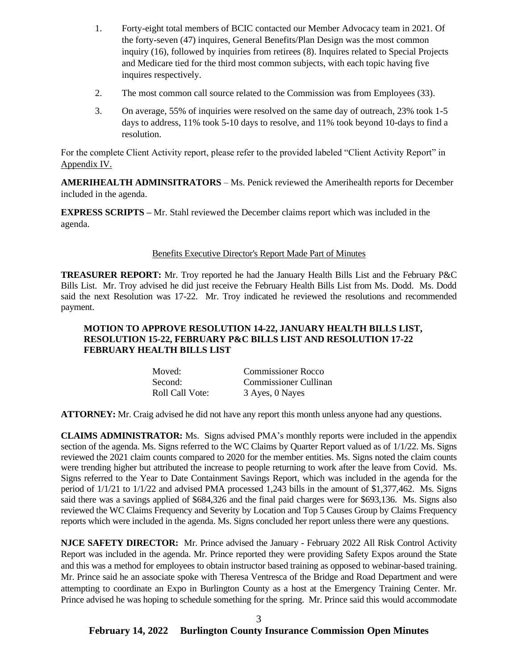- 1. Forty-eight total members of BCIC contacted our Member Advocacy team in 2021. Of the forty-seven (47) inquires, General Benefits/Plan Design was the most common inquiry (16), followed by inquiries from retirees (8). Inquires related to Special Projects and Medicare tied for the third most common subjects, with each topic having five inquires respectively.
- 2. The most common call source related to the Commission was from Employees (33).
- 3. On average, 55% of inquiries were resolved on the same day of outreach, 23% took 1-5 days to address, 11% took 5-10 days to resolve, and 11% took beyond 10-days to find a resolution.

For the complete Client Activity report, please refer to the provided labeled "Client Activity Report" in Appendix IV.

**AMERIHEALTH ADMINSITRATORS** – Ms. Penick reviewed the Amerihealth reports for December included in the agenda.

**EXPRESS SCRIPTS** – Mr. Stahl reviewed the December claims report which was included in the agenda.

### Benefits Executive Director's Report Made Part of Minutes

**TREASURER REPORT:** Mr. Troy reported he had the January Health Bills List and the February P&C Bills List. Mr. Troy advised he did just receive the February Health Bills List from Ms. Dodd. Ms. Dodd said the next Resolution was 17-22. Mr. Troy indicated he reviewed the resolutions and recommended payment.

### **MOTION TO APPROVE RESOLUTION 14-22, JANUARY HEALTH BILLS LIST, RESOLUTION 15-22, FEBRUARY P&C BILLS LIST AND RESOLUTION 17-22 FEBRUARY HEALTH BILLS LIST**

| Moved:          | Commissioner Rocco    |
|-----------------|-----------------------|
| Second:         | Commissioner Cullinan |
| Roll Call Vote: | 3 Ayes, 0 Nayes       |

**ATTORNEY:** Mr. Craig advised he did not have any report this month unless anyone had any questions.

**CLAIMS ADMINISTRATOR:** Ms. Signs advised PMA's monthly reports were included in the appendix section of the agenda. Ms. Signs referred to the WC Claims by Quarter Report valued as of  $1/1/22$ . Ms. Signs reviewed the 2021 claim counts compared to 2020 for the member entities. Ms. Signs noted the claim counts were trending higher but attributed the increase to people returning to work after the leave from Covid. Ms. Signs referred to the Year to Date Containment Savings Report, which was included in the agenda for the period of 1/1/21 to 1/1/22 and advised PMA processed 1,243 bills in the amount of \$1,377,462. Ms. Signs said there was a savings applied of \$684,326 and the final paid charges were for \$693,136. Ms. Signs also reviewed the WC Claims Frequency and Severity by Location and Top 5 Causes Group by Claims Frequency reports which were included in the agenda. Ms. Signs concluded her report unless there were any questions.

**NJCE SAFETY DIRECTOR:** Mr. Prince advised the January - February 2022 All Risk Control Activity Report was included in the agenda. Mr. Prince reported they were providing Safety Expos around the State and this was a method for employees to obtain instructor based training as opposed to webinar-based training. Mr. Prince said he an associate spoke with Theresa Ventresca of the Bridge and Road Department and were attempting to coordinate an Expo in Burlington County as a host at the Emergency Training Center. Mr. Prince advised he was hoping to schedule something for the spring. Mr. Prince said this would accommodate

### 3 **February 14, 2022 Burlington County Insurance Commission Open Minutes**